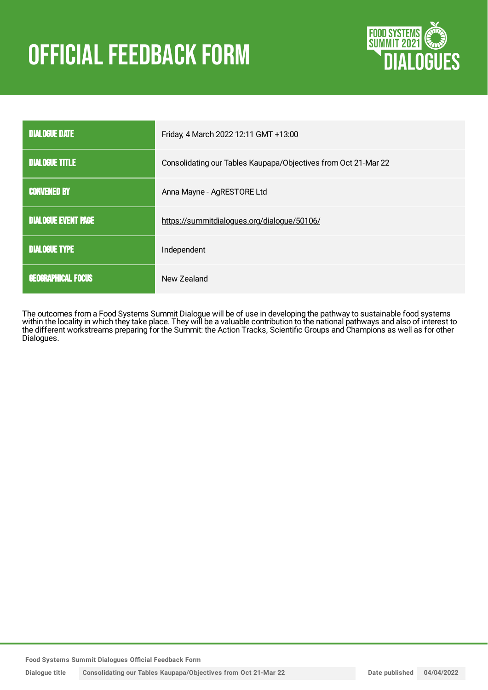# **OFFICIAL FEEDBACK FORM**



| <b>DIALOGUE DATE</b>       | Friday, 4 March 2022 12:11 GMT +13:00                          |  |
|----------------------------|----------------------------------------------------------------|--|
| <b>DIALOGUE TITLE</b>      | Consolidating our Tables Kaupapa/Objectives from Oct 21-Mar 22 |  |
| <b>CONVENED BY</b>         | Anna Mayne - AgRESTORE Ltd                                     |  |
| <b>DIALOGUE EVENT PAGE</b> | https://summitdialogues.org/dialogue/50106/                    |  |
| <b>DIALOGUE TYPE</b>       | Independent                                                    |  |
| <b>GEOGRAPHICAL FOCUS</b>  | New Zealand                                                    |  |

The outcomes from a Food Systems Summit Dialogue will be of use in developing the pathway to sustainable food systems within the locality in which they take place. They will be a valuable contribution to the national pathways and also of interest to the different workstreams preparing for the Summit: the Action Tracks, Scientific Groups and Champions as well as for other Dialogues.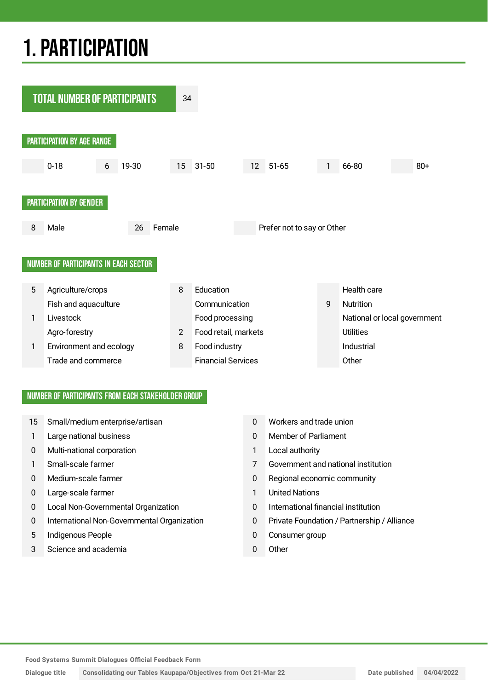## 1.PARTICIPATION



#### NUMBER OF PARTICIPANTS FROM EACH STAKEHOLDER GROUP

- 15 Small/medium enterprise/artisan 15 0 Workers and trade union
- 1 Large national business 0 Member of Parliament
- 0 Multi-national corporation 1 Local authority
- 
- 
- 0 Large-scale farmer 1 United Nations
- 0 Local Non-Governmental Organization 0 International financial institution
- 0 International Non-Governmental Organization 0 Private Foundation / Partnership / Alliance
- 5 Indigenous People **1986** 10 Consumer group
- 3 Science and academia 0 Other
- 
- 
- 
- 1 Small-scale farmer 7 Government and national institution
- 0 Medium-scale farmer 10 0 Regional economic community
	-
	-
	-
	-
	-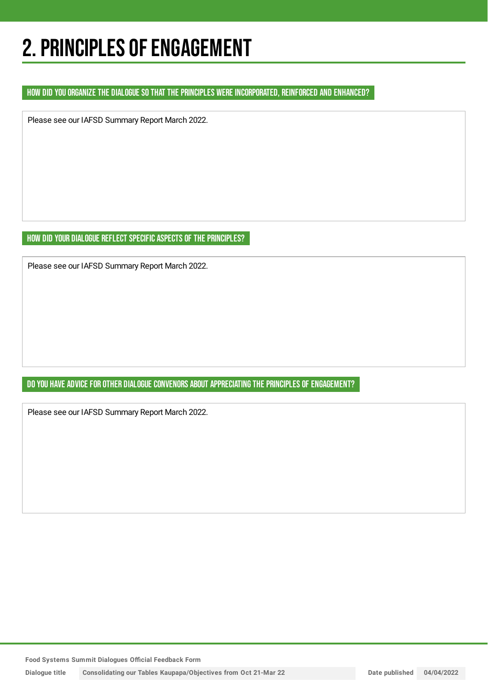### 2. PRINCIPLES OF ENGAGEMENT

#### HOW DID YOU ORGANIZE THE DIALOGUE SO THAT THE PRINCIPLES WERE INCORPORATED, REINFORCED AND ENHANCED?

Please see our IAFSD Summary Report March 2022.

HOW DID YOUR DIALOGUE REFLECT SPECIFIC ASPECTS OF THE PRINCIPLES?

Please see our IAFSD Summary Report March 2022.

DO YOU HAVE ADVICE FOR OTHER DIALOGUE CONVENORS ABOUT APPRECIATING THE PRINCIPLES OF ENGAGEMENT?

Please see our IAFSD Summary Report March 2022.

**Food Systems Summit Dialogues Official Feedback Form**

**Dialogue title Consolidating our Tables Kaupapa/Objectives from Oct 21-Mar 22 Date published 04/04/2022**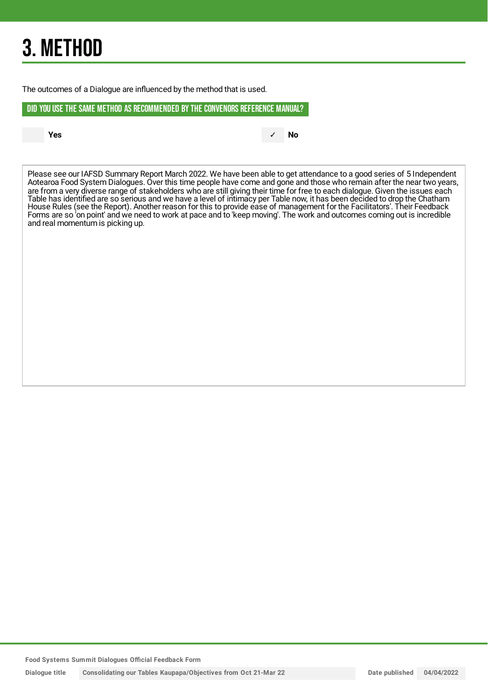## 3. METHOD

The outcomes of a Dialogue are influenced by the method that is used.

#### DID YOU USE THE SAME METHOD AS RECOMMENDED BYTHE CONVENORS REFERENCE MANUAL?

**Yes** ✓ **No**

Please see our IAFSD Summary Report March 2022. We have been able to get attendance to a good series of 5 Independent Aotearoa Food System Dialogues. Over this time people have come and gone and those who remain after the near two years, are from a very diverse range of stakeholders who are still giving their time for free to each dialogue. Given the issues each Table has identified are so serious and we have a level of intimacy per Table now, it has been decided to drop the Chatham House Rules (see the Report). Another reason for this to provide ease of management for the Facilitators'. Their Feedback Forms are so 'on point' and we need to work at pace and to 'keep moving'. The work and outcomes coming out is incredible and real momentum is picking up.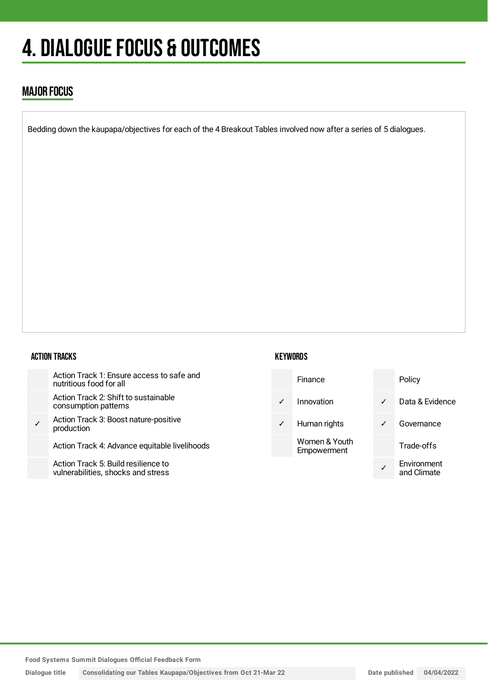## 4. DIALOGUE FOCUS & OUTCOMES

### MAJOR FOCUS

Bedding down the kaupapa/objectives for each of the 4 Breakout Tables involved now after a series of 5 dialogues.

#### ACTION TRACKS

| Action Track 1: Ensure access to safe and<br>nutritious food for all      |
|---------------------------------------------------------------------------|
| Action Track 2: Shift to sustainable<br>consumption patterns              |
| Action Track 3: Boost nature-positive<br>production                       |
| Action Track 4: Advance equitable livelihoods                             |
| Action Track 5: Build resilience to<br>vulnerabilities, shocks and stress |

#### **KEYWORDS**



**Food Systems Summit Dialogues Official Feedback Form**

**Dialogue title Consolidating our Tables Kaupapa/Objectives from Oct 21-Mar 22 Date published 04/04/2022**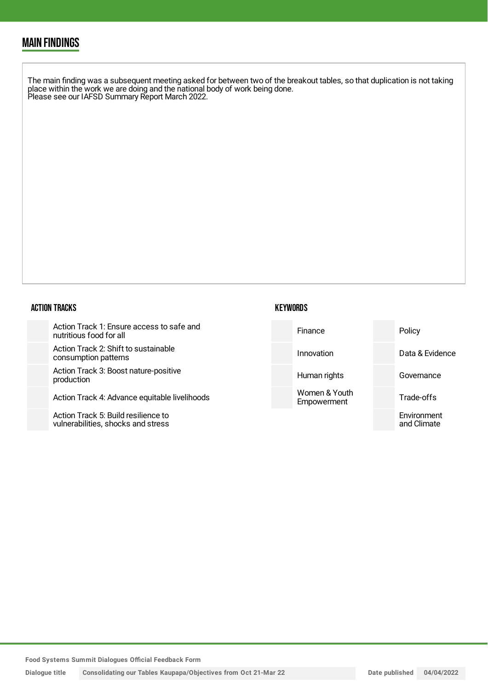### MAIN FINDINGS

The main finding was a subsequent meeting asked for between two of the breakout tables, so that duplication is not taking place within the work we are doing and the national body of work being done. Please see our IAFSD Summary Report March 2022.

#### ACTION TRACKS

| Action Track 1: Ensure access to safe and<br>nutritious food for all      | Finance                      | Policy                     |
|---------------------------------------------------------------------------|------------------------------|----------------------------|
| Action Track 2: Shift to sustainable<br>consumption patterns              | Innovation                   | Data & Evidence            |
| Action Track 3: Boost nature-positive<br>production                       | Human rights                 | Governance                 |
| Action Track 4: Advance equitable livelihoods                             | Women & Youth<br>Empowerment | Trade-offs                 |
| Action Track 5: Build resilience to<br>vulnerabilities, shocks and stress |                              | Environment<br>and Climate |

**KEYWORDS**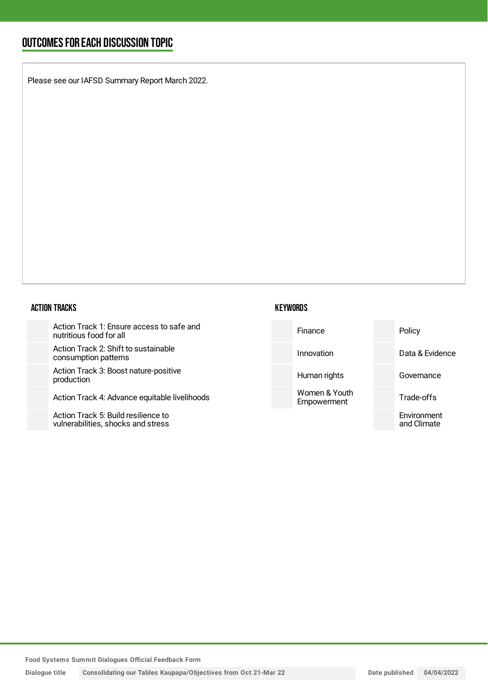### OUTCOMESFOR EACH DISCUSSION TOPIC

Please see our IAFSD Summary Report March 2022.

#### ACTION TRACKS

Action Track 1: Ensure ad nutritious food for all

Action Track 2: Shift to su consumption patterns

Action Track 3: Boost nat production

Action Track 4: Advance

Action Track 5: Build resil vulnerabilities, shocks an

| KEYWORDS |
|----------|
|----------|

| ustainable<br>Data & Evidence<br>Innovation                         |  |
|---------------------------------------------------------------------|--|
|                                                                     |  |
| ture-positive<br>Human rights<br>Governance                         |  |
| Women & Youth<br>equitable livelihoods<br>Trade-offs<br>Empowerment |  |
| ilience to<br>Environment<br>าd stress<br>and Climate               |  |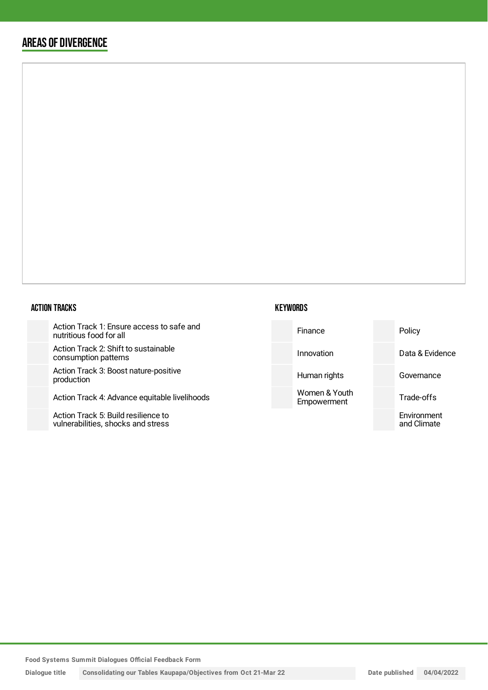### AREAS OF DIVERGENCE

#### ACTION TRACKS

Action Track 1: Ensure access to safe nutritious food for all

Action Track 2: Shift to sustainable consumption patterns

Action Track 3: Boost nature-positive production

Action Track 4: Advance equitable live

Action Track 5: Build resilience to vulnerabilities, shocks and stress

| e and    | Finance                      | Policy                     |
|----------|------------------------------|----------------------------|
|          | Innovation                   | Data & Evidence            |
|          | Human rights                 | Governance                 |
| elihoods | Women & Youth<br>Empowerment | Trade-offs                 |
|          |                              | Environment<br>and Climate |
|          |                              |                            |